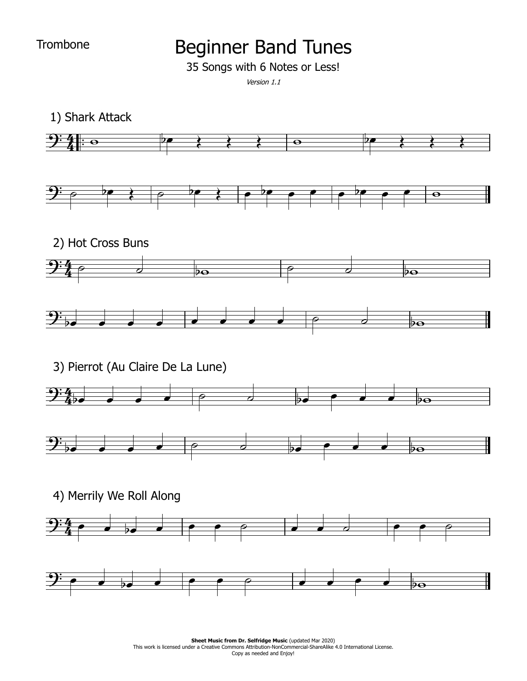**Trombone** 

## Beginner Band Tunes

35 Songs with 6 Notes or Less!

Version 1.1

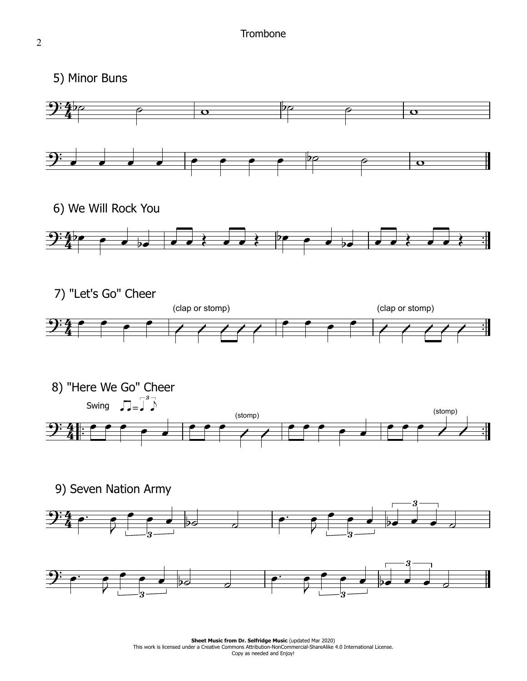5) Minor Buns

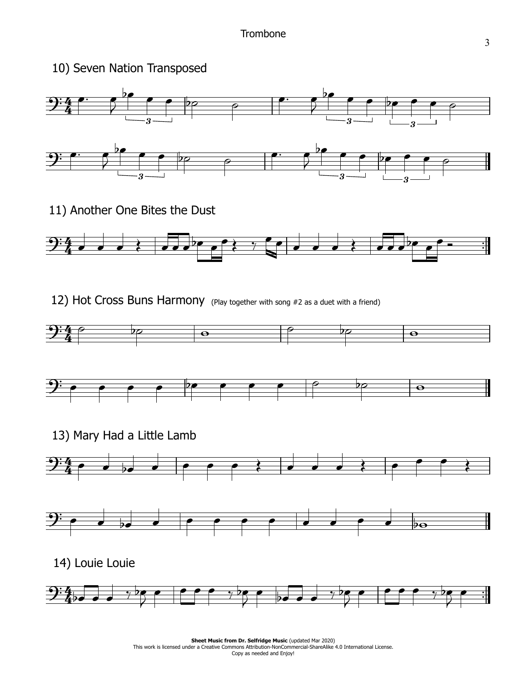

11) Another One Bites the Dust



12) Hot Cross Buns Harmony (Play together with song #2 as a duet with a friend)





13) Mary Had a Little Lamb





14) Louie Louie

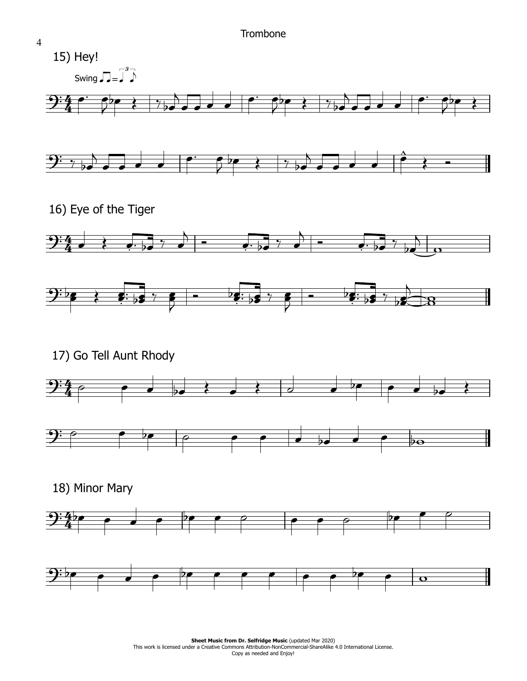

4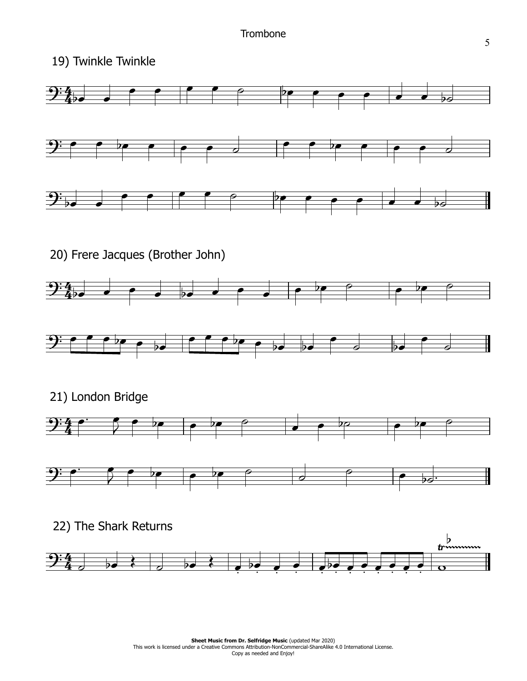19) Twinkle Twinkle

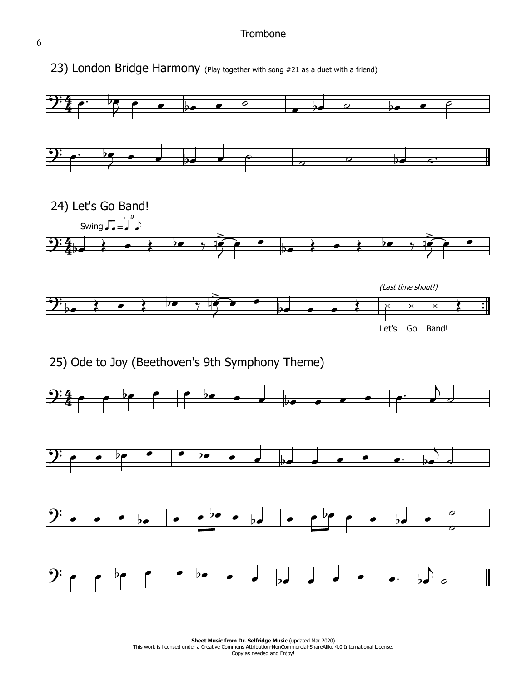## **Trombone**





**Sheet Music from Dr. Selfridge Music (updated Mar 2020) Sheet Music from Dr. Selfridge Music** (updated Mar 2020)<br>This work is licensed under a Creative Commons Attribution-NonCommercial-ShareAlike 4.0 International License. Copy as needed and Enjoy!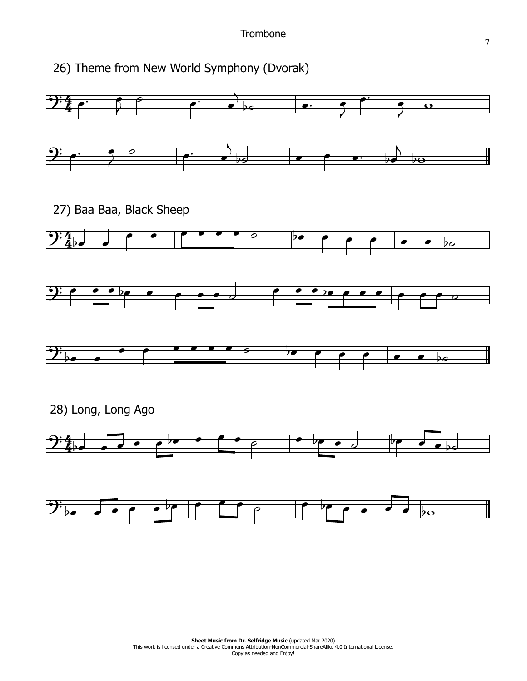26) Theme from New World Symphony (Dvorak)

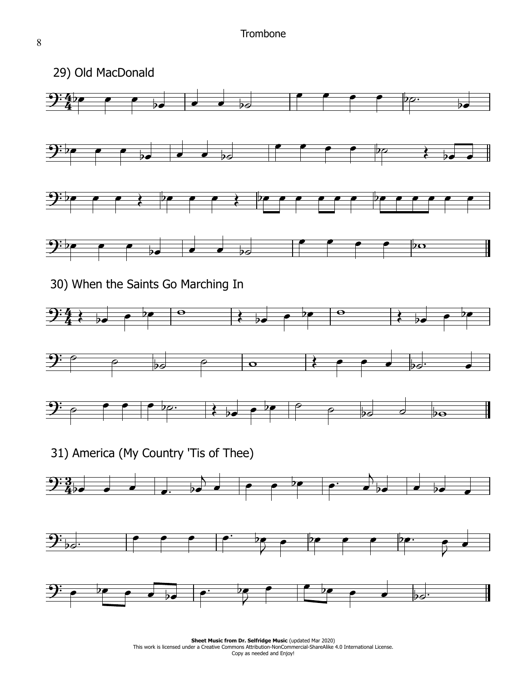

**Sheet Music from Dr. Selfridge Music (updated Mar 2020) Sheet Music from Dr. Selfridge Music** (updated Mar 2020)<br>This work is licensed under a Creative Commons Attribution-NonCommercial-ShareAlike 4.0 International License. Copy as needed and Enjoy!